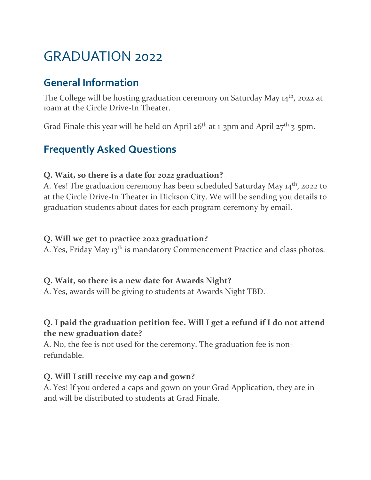# GRADUATION 2022

# **General Information**

The College will be hosting graduation ceremony on Saturday May 14<sup>th</sup>, 2022 at 10am at the Circle Drive-In Theater.

Grad Finale this year will be held on April 26<sup>th</sup> at 1-3pm and April 27<sup>th</sup> 3-5pm.

# **Frequently Asked Questions**

#### **Q. Wait, so there is a date for 2022 graduation?**

A. Yes! The graduation ceremony has been scheduled Saturday May 14<sup>th</sup>, 2022 to at the Circle Drive-In Theater in Dickson City. We will be sending you details to graduation students about dates for each program ceremony by email.

#### **Q. Will we get to practice 2022 graduation?**

A. Yes, Friday May 13<sup>th</sup> is mandatory Commencement Practice and class photos.

#### **Q. Wait, so there is a new date for Awards Night?**

A. Yes, awards will be giving to students at Awards Night TBD.

## **Q. I paid the graduation petition fee. Will I get a refund if I do not attend the new graduation date?**

A. No, the fee is not used for the ceremony. The graduation fee is nonrefundable.

#### **Q. Will I still receive my cap and gown?**

A. Yes! If you ordered a caps and gown on your Grad Application, they are in and will be distributed to students at Grad Finale.